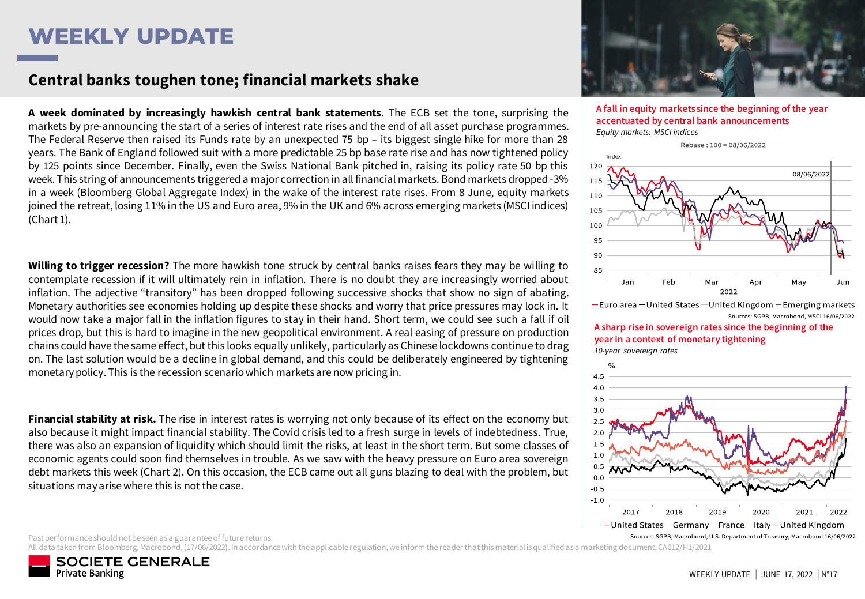## **WEEKLY UPDATE**

### **Central banks toughen tone; financial markets shake**

**A week dominated by increasingly hawkish central bank statements**. The ECB set the tone, surprising the markets by pre-announcing the start of a series of interest rate rises and the end of all asset purchase programmes. The Federal Reserve then raised its Funds rate by an unexpected 75 bp – its biggest single hike for more than 28 years. The Bank of England followed suit with a more predictable 25 bp base rate rise and has now tightened policy by 125 points since December. Finally, even the Swiss National Bank pitched in, raising its policy rate 50 bp this week. This string of announcements triggered a major correction in all financial markets. Bond markets dropped -3% in a week (Bloomberg Global Aggregate Index) in the wake of the interest rate rises. From 8 June, equity markets joined the retreat, losing 11% in the US and Euro area, 9% in the UK and 6% across emerging markets (MSCI indices) (Chart 1).

**Willing to trigger recession?** The more hawkish tone struck by central banks raises fears they may be willing to contemplate recession if it will ultimately rein in inflation. There is no doubt they are increasingly worried about inflation. The adjective "transitory" has been dropped following successive shocks that show no sign of abating. Monetary authorities see economies holding up despite these shocks and worry that price pressures may lock in. It would now take a major fall in the inflation figures to stay in their hand. Short term, we could see such a fall if oil prices drop, but this is hard to imagine in the new geopolitical environment. A real easing of pressure on production chains could have the same effect, but this looks equally unlikely, particularly as Chinese lockdowns continue to drag on. The last solution would be a decline in global demand, and this could be deliberately engineered by tightening monetarypolicy. This is the recession scenariowhich marketsare now pricing in.

**Financial stability at risk.** The rise in interest rates is worrying not only because of its effect on the economy but also because it might impact financial stability. The Covid crisis led to a fresh surge in levels of indebtedness. True, there was also an expansion of liquidity which should limit the risks, at least in the short term. But some classes of economic agents could soon find themselves in trouble. As we saw with the heavy pressure on Euro area sovereign debt markets this week (Chart 2). On this occasion, the ECB came out all guns blazing to deal with the problem, but situations mayarise where this is not the case.

Past performance should not be seen as a guarantee of future returns.

All data taken from Bloomberg, Macrobond, (17/06/2022). In accordance with the applicable regulation, we inform the reader that this material is qualified as a marketing document. CA012/H1/2021





**A fall in equity markets since the beginning of the year accentuated by central bank announcements** *Equity markets: MSCI indices*



 $-$ Euro area - United States - United Kingdom - Emerging markets Sources: SGPB, Macrobond, MSCI 16/06/2022

**A sharp rise in sovereign rates since the beginning of the year in a context of monetary tightening** *10-year sovereign rates*

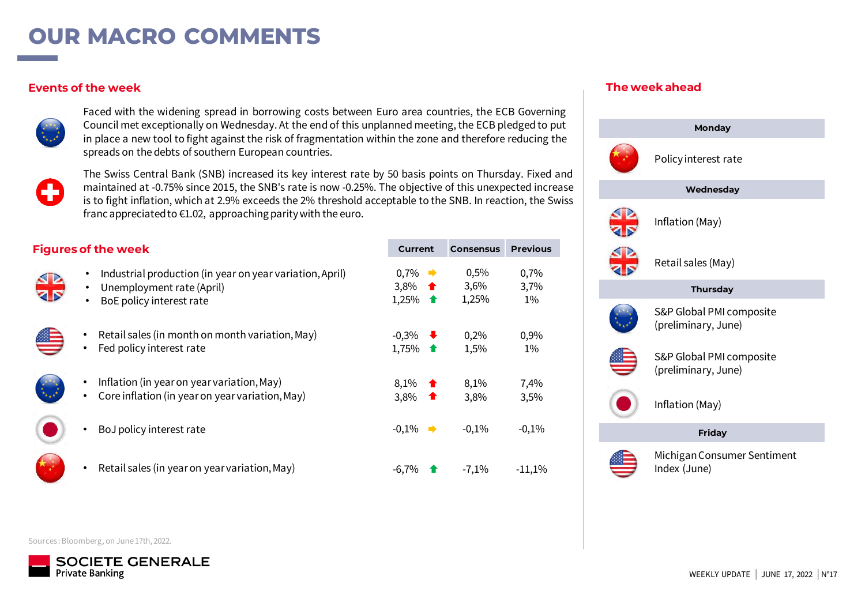## **OUR MACRO COMMENTS**

### **Events of the week**



Faced with the widening spread in borrowing costs between Euro area countries, the ECB Governing Council met exceptionally on Wednesday. At the end of this unplanned meeting, the ECB pledged to put in place a new tool to fight against the risk of fragmentation within the zone and therefore reducing the spreads on the debts of southern European countries.



The Swiss Central Bank (SNB) increased its key interest rate by 50 basis points on Thursday. Fixed and maintained at -0.75% since 2015, the SNB's rate is now -0.25%. The objective of this unexpected increase is to fight inflation, which at 2.9% exceeds the 2% threshold acceptable to the SNB. In reaction, the Swiss franc appreciated to  $\epsilon$ 1.02, approaching parity with the euro.

| <b>Figures of the week</b> |
|----------------------------|
|----------------------------|

- Industrial production (in year on year variation, April)
- Unemployment rate (April)
- BoE policy interest rate
- Retail sales (in month on month variation, May)
- Fed policy interest rate
- Inflation (in year on year variation, May)
- Core inflation (in year on year variation, May)
- BoJ policy interest rate
- Retail sales (in year on year variation, May)

| Current                            |        | <b>Consensus</b>         | Previous              |
|------------------------------------|--------|--------------------------|-----------------------|
| $0.7\%$<br>➡<br>3,8%<br>♠<br>1,25% | ♠      | $0,5\%$<br>3,6%<br>1,25% | 0,7%<br>3,7%<br>$1\%$ |
| $-0,3%$<br>1,75%                   | ₩<br>♠ | 0,2%<br>1,5%             | 0,9%<br>$1\%$         |
| 8,1%<br>♠<br>♠<br>3,8%             |        | 8,1%<br>3,8%             | 7,4%<br>3,5%          |
| $-0,1%$<br>➡                       |        | $-0,1%$                  | $-0,1%$               |
| $-6,7%$                            | ♠      | $-7,1\%$                 | $-11,1\%$             |

### **The week ahead**



Sources : Bloomberg, on June 17th, 2022.

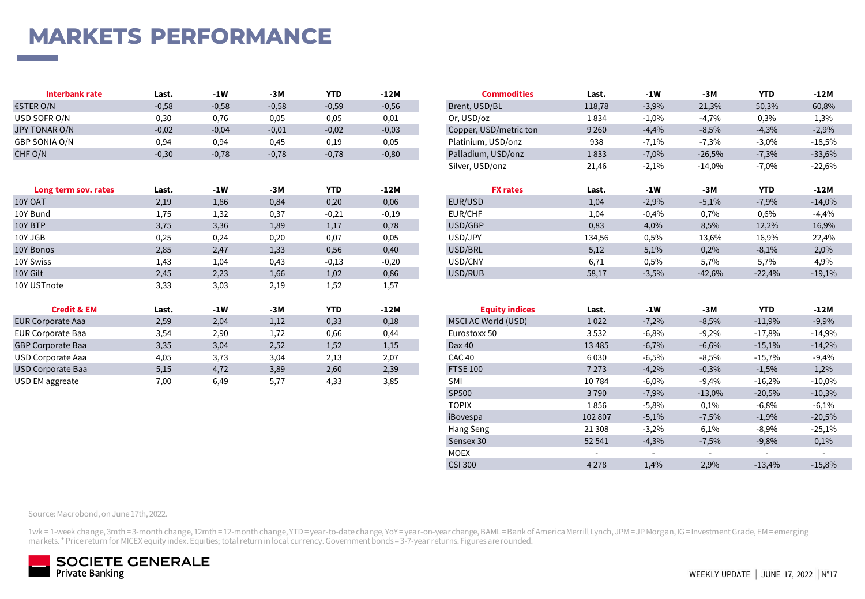# **MARKETS PERFORMANCE**

| Interbank rate | Last.   | -1W     | -3M     | <b>YTD</b> | $-12M$  | Commodities            | Last.   | -1W     | -3M      | <b>YTD</b> | $-12M$   |
|----------------|---------|---------|---------|------------|---------|------------------------|---------|---------|----------|------------|----------|
| €STER O/N      | $-0,58$ | $-0,58$ | $-0,58$ | $-0,59$    | $-0,56$ | Brent, USD/BL          | 118,78  | $-3,9%$ | 21,3%    | 50,3%      | 60,8%    |
| USD SOFR O/N   | 0,30    | 0.76    | 0,05    | 0,05       | 0,01    | Or, USD/oz             | 1834    | $-1,0%$ | $-4.7%$  | 0,3%       | 1,3%     |
| JPY TONAR O/N  | $-0,02$ | $-0,04$ | $-0,01$ | $-0,02$    | $-0,03$ | Copper, USD/metric ton | 9 2 6 0 | $-4,4%$ | $-8,5%$  | $-4,3%$    | $-2,9%$  |
| GBP SONIA O/N  | 0,94    | 0,94    | 0.45    | 0,19       | 0,05    | Platinium, USD/onz     | 938     | $-7,1%$ | 7,3%     | $-3,0%$    | $-18,5%$ |
| CHF O/N        | $-0,30$ | $-0,78$ | $-0,78$ | $-0,78$    | $-0,80$ | Palladium, USD/onz     | 1833    | $-7,0%$ | $-26,5%$ | $-7,3%$    | $-33,6%$ |

| Long term sov. rates     | Last.            | $-1W$ | -3M   | <b>YTD</b> | -12M    | <b>FX rates</b>       | Last.    | $-1W$   | -3M      | <b>YTD</b> | -12M     |
|--------------------------|------------------|-------|-------|------------|---------|-----------------------|----------|---------|----------|------------|----------|
| 10Y OAT                  | 2,19             | 1,86  | 0,84  | 0,20       | 0,06    | EUR/USD               | 1,04     | $-2,9%$ | $-5,1%$  | $-7,9%$    | $-14,0%$ |
| 10Y Bund                 | 1,75             | 1,32  | 0,37  | $-0,21$    | $-0,19$ | EUR/CHF               | 1,04     | $-0,4%$ | 0,7%     | 0,6%       | $-4,4%$  |
| 10Y BTP                  | 3,75             | 3,36  | 1,89  | 1,17       | 0,78    | USD/GBP               | 0,83     | 4,0%    | 8,5%     | 12,2%      | 16,9%    |
| 10Y JGB                  | 0,25             | 0,24  | 0,20  | 0,07       | 0,05    | USD/JPY               | 134,56   | 0,5%    | 13,6%    | 16,9%      | 22,4%    |
| 10Y Bonos                | 2,85             | 2,47  | 1,33  | 0,56       | 0,40    | USD/BRL               | 5,12     | 5,1%    | 0,2%     | $-8,1%$    | 2,0%     |
| 10Y Swiss                | 1,43             | 1,04  | 0,43  | $-0,13$    | $-0,20$ | USD/CNY               | 6,71     | 0,5%    | 5,7%     | 5,7%       | 4,9%     |
| 10Y Gilt                 | 2,45             | 2,23  | 1,66  | 1,02       | 0,86    | USD/RUB               | 58,17    | $-3,5%$ | $-42,6%$ | $-22,4%$   | $-19,1%$ |
| 10Y USTnote              | 3,33             | 3,03  | 2,19  | 1,52       | 1,57    |                       |          |         |          |            |          |
| <b>Credit &amp; EM</b>   | Last.            | $-1W$ | $-3M$ | <b>YTD</b> | $-12M$  | <b>Equity indices</b> | Last.    | $-1W$   | -3M      | <b>YTD</b> | -12M     |
| <b>EUR Corporate Aaa</b> | 2,59             | 2,04  | 1,12  | 0,33       | 0,18    | MSCI AC World (USD)   | 1022     | $-7,2%$ | $-8,5%$  | $-11,9%$   | $-9,9%$  |
| EUR Corporate Baa        | 3,54             | 2,90  | 1,72  | 0,66       | 0,44    | Eurostoxx 50          | 3532     | $-6,8%$ | $-9,2%$  | $-17,8%$   | $-14,9%$ |
| <b>GBP Corporate Baa</b> | 3,35             | 3,04  | 2,52  | 1,52       | 1,15    | Dax 40                | 13 4 8 5 | $-6,7%$ | $-6,6%$  | $-15,1%$   | $-14,2%$ |
| USD Corporate Aaa        | 4,05             | 3,73  | 3,04  | 2,13       | 2,07    | CAC <sub>40</sub>     | 6030     | $-6,5%$ | $-8,5%$  | $-15,7%$   | $-9,4%$  |
| <b>HCD Comparato Dog</b> | C <sub>1</sub> C | 172   | 200   | 200        | 220     | TTCF100               | 7222     | 1.201   | 0.201    | 1.50/      | 1.201    |

| <b>Interbank rate</b> | Last.   | -1W     | -3M     | YID        | -12M    | commodities            | Last.   | -1W      | -3M      | YID        | -12M     |
|-----------------------|---------|---------|---------|------------|---------|------------------------|---------|----------|----------|------------|----------|
| R O/N                 | $-0,58$ | $-0,58$ | $-0,58$ | $-0,59$    | $-0,56$ | Brent, USD/BL          | 118,78  | $-3,9%$  | 21,3%    | 50,3%      | 60,8%    |
| SOFR O/N              | 0,30    | 0,76    | 0,05    | 0,05       | 0,01    | Or, USD/oz             | 1834    | $-1,0\%$ | $-4,7%$  | 0,3%       | 1,3%     |
| ONAR O/N              | $-0,02$ | $-0,04$ | $-0,01$ | $-0,02$    | $-0,03$ | Copper, USD/metric ton | 9 2 6 0 | $-4,4%$  | $-8,5%$  | $-4,3%$    | $-2,9%$  |
| SONIA O/N             | 0,94    | 0,94    | 0,45    | 0,19       | 0,05    | Platinium, USD/onz     | 938     | $-7,1%$  | $-7,3%$  | $-3,0%$    | $-18,5%$ |
| J/N                   | $-0,30$ | $-0,78$ | $-0,78$ | $-0,78$    | $-0,80$ | Palladium, USD/onz     | 1833    | $-7,0%$  | $-26,5%$ | $-7,3%$    | $-33,6%$ |
|                       |         |         |         |            |         | Silver, USD/onz        | 21,46   | $-2,1%$  | $-14,0%$ | $-7,0%$    | $-22,6%$ |
|                       |         |         |         |            |         |                        |         |          |          |            |          |
|                       |         | $-1W$   | $-3M$   | <b>YTD</b> | $-12M$  | <b>FX rates</b>        | Last.   | $-1W$    | $-3M$    | <b>YTD</b> | -12M     |
| Long term sov. rates  | Last.   |         |         |            |         |                        |         |          |          |            |          |
| <b>AT</b>             | 2,19    | 1,86    | 0,84    | 0,20       | 0,06    | EUR/USD                | 1,04    | $-2,9%$  | $-5,1%$  | $-7,9%$    | $-14,0%$ |
| ¦und                  | 1,75    | 1,32    | 0,37    | $-0,21$    | $-0,19$ | EUR/CHF                | 1,04    | $-0,4%$  | 0,7%     | 0,6%       | $-4,4%$  |
| <b>TP</b>             | 3,75    | 3,36    | 1,89    | 1,17       | 0,78    | USD/GBP                | 0,83    | 4,0%     | 8,5%     | 12,2%      | 16,9%    |
| GB                    | 0,25    | 0,24    | 0,20    | 0,07       | 0,05    | USD/JPY                | 134,56  | 0,5%     | 13,6%    | 16,9%      | 22,4%    |
| <b>onos</b>           | 2,85    | 2,47    | 1,33    | 0,56       | 0,40    | USD/BRL                | 5,12    | 5,1%     | 0,2%     | $-8,1%$    | 2,0%     |
| wiss                  | 1,43    | 1,04    | 0,43    | $-0,13$    | $-0,20$ | USD/CNY                | 6,71    | 0,5%     | 5,7%     | 5,7%       | 4,9%     |

| <b>Credit &amp; EM</b>   | Last. | $-1W$ | $-3M$ | <b>YTD</b> | $-12M$ | <b>Equity indices</b> | Last.                    | $-1W$                    | -3M                      | <b>YTD</b>               | -12M     |
|--------------------------|-------|-------|-------|------------|--------|-----------------------|--------------------------|--------------------------|--------------------------|--------------------------|----------|
| <b>EUR Corporate Aaa</b> | 2,59  | 2,04  | 1,12  | 0,33       | 0,18   | MSCI AC World (USD)   | 1022                     | $-7,2%$                  | $-8,5%$                  | $-11,9%$                 | $-9,9%$  |
| <b>EUR Corporate Baa</b> | 3,54  | 2,90  | 1,72  | 0,66       | 0,44   | Eurostoxx 50          | 3532                     | $-6,8%$                  | $-9,2%$                  | $-17,8%$                 | $-14,9%$ |
| <b>GBP Corporate Baa</b> | 3,35  | 3,04  | 2,52  | 1,52       | 1,15   | Dax 40                | 13 4 8 5                 | $-6,7%$                  | $-6,6%$                  | $-15,1%$                 | $-14,2%$ |
| USD Corporate Aaa        | 4,05  | 3,73  | 3,04  | 2,13       | 2,07   | <b>CAC 40</b>         | 6030                     | $-6,5%$                  | $-8,5%$                  | $-15,7%$                 | $-9,4%$  |
| <b>USD Corporate Baa</b> | 5,15  | 4,72  | 3,89  | 2,60       | 2,39   | <b>FTSE 100</b>       | 7 2 7 3                  | $-4,2%$                  | $-0,3%$                  | $-1,5%$                  | 1,2%     |
| USD EM aggreate          | 7,00  | 6,49  | 5,77  | 4,33       | 3,85   | <b>SMI</b>            | 10784                    | $-6,0%$                  | $-9,4%$                  | $-16,2%$                 | $-10,0%$ |
|                          |       |       |       |            |        | SP500                 | 3790                     | $-7,9%$                  | $-13,0%$                 | $-20,5%$                 | $-10,3%$ |
|                          |       |       |       |            |        | <b>TOPIX</b>          | 1856                     | $-5,8%$                  | 0,1%                     | $-6,8%$                  | $-6,1\%$ |
|                          |       |       |       |            |        | iBovespa              | 102 807                  | $-5,1%$                  | $-7,5%$                  | $-1,9%$                  | $-20,5%$ |
|                          |       |       |       |            |        | Hang Seng             | 21 308                   | $-3,2%$                  | 6,1%                     | $-8,9%$                  | $-25,1%$ |
|                          |       |       |       |            |        | Sensex 30             | 52 541                   | $-4,3%$                  | $-7,5%$                  | $-9,8%$                  | 0,1%     |
|                          |       |       |       |            |        | <b>MOEX</b>           | $\overline{\phantom{a}}$ | $\overline{\phantom{0}}$ | $\overline{\phantom{0}}$ | $\overline{\phantom{0}}$ |          |
|                          |       |       |       |            |        | <b>CSI 300</b>        | 4 2 7 8                  | 1,4%                     | 2,9%                     | $-13,4%$                 | $-15,8%$ |

Source: Macrobond, on June 17th, 2022.

1wk = 1-week change, 3mth = 3-month change, 12mth = 12-month change, YTD = year-to-date change, YoY = year-on-year change, BAML = Bank of America Merrill Lynch, JPM = JP Morgan, IG = Investment Grade, EM = emerging markets. \* Price return for MICEX equity index. Equities; total return in local currency. Government bonds = 3-7-year returns. Figures are rounded.

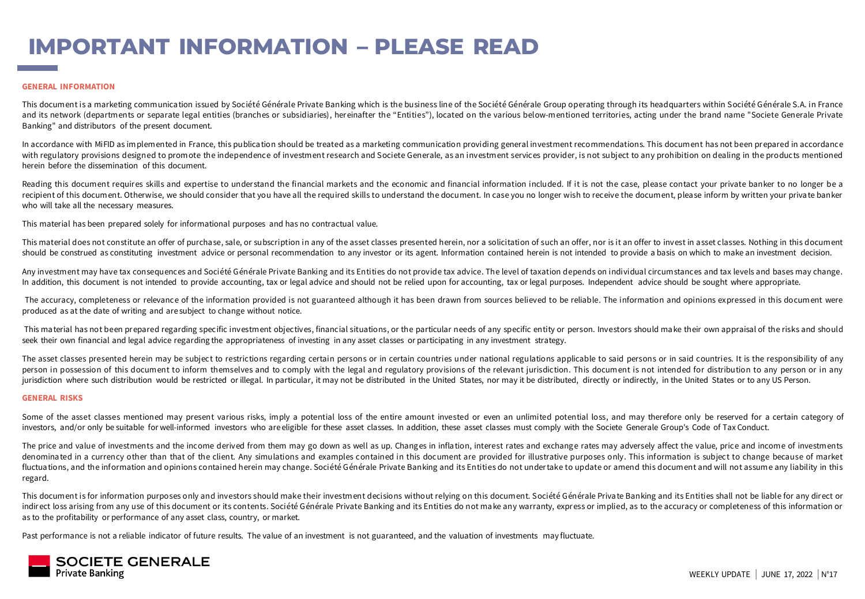# **IMPORTANT INFORMATION – PLEASE READ**

#### **GENERAL INFORMATION**

This document is a marketing communica tion issued by Société Générale Private Banking which is the business line of the Société Générale Group operating through its headquarters within Société Générale S.A. in France and its network (departments or separate legal entities (branches or subsidiaries), hereinafter the "Entities"), located on the various below-mentioned territories, acting under the brand name "Societe Generale Private Banking" and distributors of the present document.

In accordance with MiFID as implemented in France, this publication should be treated as a marketing communication providing general investment recommendations. This document has not been prepared in accordance with regulatory provisions designed to promote the independence of investment research and Societe Generale, as an investment services provider, is not subject to any prohibition on dealing in the products mentioned herein before the dissemination of this document.

Reading this document requires skills and expertise to understand the financial markets and the economic and financial information included. If it is not the case, please contact your private banker to no longer be a recipient of this document. Otherwise, we should consider that you have all the required skills to understand the document. In case you no longer wish to receive the document, please inform by written your private banker who will take all the necessary measures.

This material has been prepared solely for informational purposes and has no contractual value.

This material does not constitute an offer of purchase, sale, or subscription in any of the asset classes presented herein, nor a solicitation of such an offer, nor is it an offer to invest in asset classes. Nothing in thi should be construed as constituting investment advice or personal recommendation to any investor or its agent. Information contained herein is not intended to provide a basis on which to make an investment decision.

Any investment may have tax consequences and Société Générale Private Banking and its Entities do not provide tax advice. The level of taxation depends on individual circumstances and tax levels and bases may change. In addition, this document is not intended to provide accounting, tax or legal advice and should not be relied upon for accounting, tax or legal purposes. Independent advice should be sought where appropriate.

The accuracy, completeness or relevance of the information provided is not guaranteed although it has been drawn from sources believed to be reliable. The information and opinions expressed in this document were produced as at the date of writing and are subject to change without notice.

This material has not been prepared regarding specific investment objectives, financial situations, or the particular needs of any specific entity or person. Investors should make their own appraisal of the risks and shoul seek their own financial and legal advice regarding the appropriateness of investing in any asset classes or participating in any investment strategy.

The asset classes presented herein may be subject to restrictions regarding certain persons or in certain countries under national regulations applicable to said persons or in said countries. It is the responsibility of an person in possession of this document to inform themselves and to comply with the legal and regulatory provisions of the relevant jurisdiction. This document is not intended for distribution to any person or in any jurisdiction where such distribution would be restricted or illegal. In particular, it may not be distributed in the United States, nor may it be distributed, directly or indirectly, in the United States or to any US Perso

#### **GENERAL RISKS**

Some of the asset classes mentioned may present various risks, imply a potential loss of the entire amount invested or even an unlimited potential loss, and may therefore only be reserved for a certain category of investors, and/or only be suitable for well-informed investors who areeligible for these asset classes. In addition, these asset classes must comply with the Societe Generale Group's Code of Tax Conduct.

The price and value of investments and the income derived from them may go down as well as up. Changes in inflation, interest rates and exchange rates may adversely affect the value, price and income of investments denominated in a currency other than that of the client. Any simulations and examples contained in this document are provided for illustrative purposes only. This information is subject to change because of market fluctuations, and the information and opinions contained herein may change. Société Générale Private Banking and its Entities do not undertake to update or amend this document and will not assume any liability in this regard.

This document is for information purposes only and investors should make their investment decisions without relying on this document. Société Générale Priva te Banking and its Entities shall not be liable for any direct or indirect loss arising from any use of this document or its contents. Société Générale Private Banking and its Entities do not make any warranty, express or implied, as to the accuracy or completeness of this information or as to the profitability or performance of any asset class, country, or market.

Past performance is not a reliable indicator of future results. The value of an investment is not guaranteed, and the valuation of investments may fluctuate.

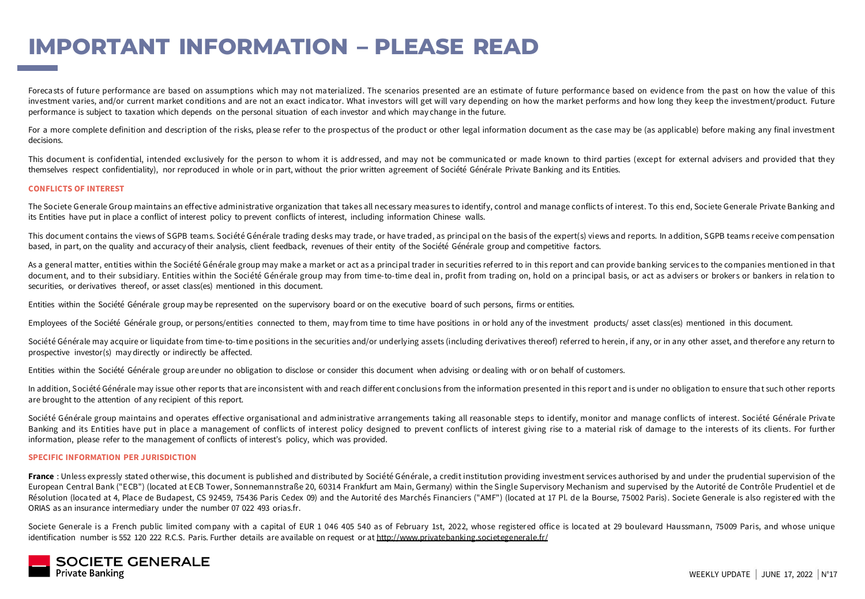## **IMPORTANT INFORMATION – PLEASE READ**

Forecasts of future performance are based on assumptions which may not materialized. The scenarios presented are an estimate of future performance based on evidence from the past on how the value of this investment varies, and/or current market conditions and are not an exact indicator. What investors will get will vary depending on how the market performs and how long they keep the investment/product. Future performance is subject to taxation which depends on the personal situation of each investor and which may change in the future.

For a more complete definition and description of the risks, please refer to the prospectus of the product or other legal information document as the case may be (as applicable) before making any final investment decisions.

This document is confidential, intended exclusively for the person to whom it is addressed, and may not be communicated or made known to third parties (except for external advisers and provided that they themselves respect confidentiality), nor reproduced in whole or in part, without the prior written agreement of Société Générale Private Banking and its Entities.

#### **CONFLICTS OF INTEREST**

The Societe Generale Group maintains an effective administrative organization that takes all necessary mea sures to identify, control and manage conflicts of interest. To this end, Societe Generale Private Banking and its Entities have put in place a conflict of interest policy to prevent conflicts of interest, including information Chinese walls.

This document contains the views of SGPB teams. Société Générale trading desks may trade, or have traded, as principal on the basis of the expert(s) views and reports. In addition, SGPB teams receive compensation based, in part, on the quality and accuracy of their analysis, client feedback, revenues of their entity of the Société Générale group and competitive factors.

As a general matter, entities within the Société Générale group may make a market or act as a principal trader in securities referred to in this report and can provide banking services to the companies mentioned in that document, and to their subsidiary. Entities within the Société Générale group may from time-to-time deal in, profit from trading on, hold on a principal basis, or act as advisers or brokers or bankers in relation to securities, or derivatives thereof, or asset class(es) mentioned in this document.

Entities within the Société Générale group may be represented on the supervisory board or on the executive board of such persons, firms or entities.

Employees of the Société Générale group, or persons/entities connected to them, may from time to time have positions in or hold any of the investment products/ asset class(es) mentioned in this document.

Société Générale may acquire or liquidate from time-to-time positions in the securities and/or underlying assets (including derivatives thereof) referred to herein, if any, or in any other asset, and therefore any return t prospective investor(s) may directly or indirectly be affected.

Entities within the Société Générale group areunder no obligation to disclose or consider this document when advising or dealing with or on behalf of customers.

In addition, Société Générale may issue other reports that are inconsistent with and reach differ ent conclusions from the information presented in this report and is under no obligation to ensure that such other reports are brought to the attention of any recipient of this report.

Société Générale group maintains and operates effective organisational and administrative arrangements taking all reasonable steps to identify, monitor and manage conflicts of interest. Société Générale Private Banking and its Entities have put in place a management of conflicts of interest policy designed to prevent conflicts of interest giving rise to a material risk of damage to the interests of its clients. For further information, please refer to the management of conflicts of interest's policy, which was provided.

#### **SPECIFIC INFORMATION PER JURISDICTION**

France : Unless expressly stated other wise, this document is published and distributed by Société Générale, a credit institution providing investment services authorised by and under the prudential supervision of the European Central Bank ("ECB") (located at ECB Tower, Sonnemannstraße 20, 60314 Frankfurt am Main, Germany) within the Single Supervisory Mechanism and supervised by the Autorité de Contrôle Prudentiel et de Résolution (loca ted at 4, Place de Budapest, CS 92459, 75436 Paris Cedex 09) and the Autorité des Marchés Financiers ("AMF") (located at 17 Pl. de la Bourse, 75002 Paris). Societe Generale is also registered with the ORIAS as an insurance intermediary under the number 07 022 493 orias.fr.

Societe Generale is a French public limited company with a capital of EUR 1 046 405 540 as of February 1st, 2022, whose registered office is located at 29 boulevard Haussmann, 75009 Paris, and whose unique identification number is 552 120 222 R.C.S. Paris. Further details are available on request or at <http://www.privatebanking.societegenerale.fr/>